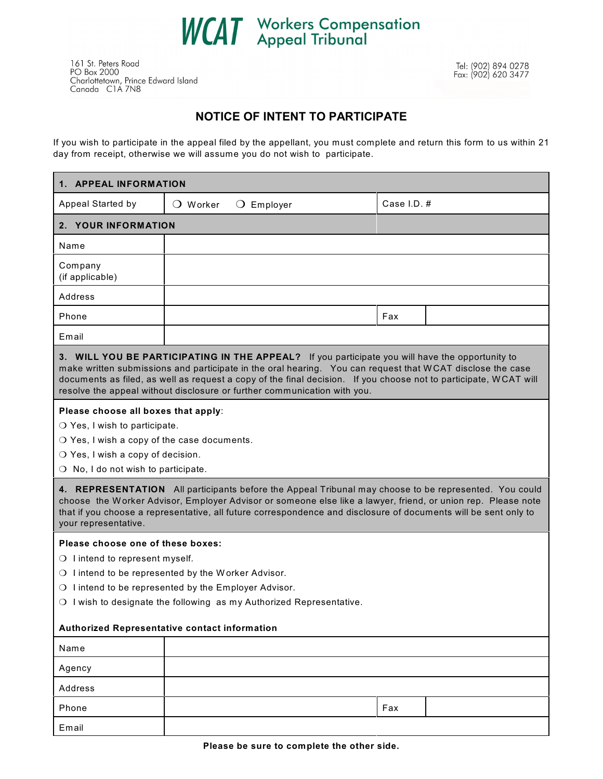

161 St. Peters Road PO Box 2000 Charlottetown, Prince Edward Island<br>Canada CIA 7N8

## **NOTICE OF INTENT TO PARTICIPATE**

If you wish to participate in the appeal filed by the appellant, you must complete and return this form to us within 21 day from receipt, otherwise we will assume you do not wish to participate.

| 1. APPEAL INFORMATION                                                                                                                                                                                                                                                                                                                                                                                                                                                                                                                                |                   |                     |             |  |
|------------------------------------------------------------------------------------------------------------------------------------------------------------------------------------------------------------------------------------------------------------------------------------------------------------------------------------------------------------------------------------------------------------------------------------------------------------------------------------------------------------------------------------------------------|-------------------|---------------------|-------------|--|
| Appeal Started by                                                                                                                                                                                                                                                                                                                                                                                                                                                                                                                                    | $\bigcirc$ Worker | $\bigcirc$ Employer | Case I.D. # |  |
| 2. YOUR INFORMATION                                                                                                                                                                                                                                                                                                                                                                                                                                                                                                                                  |                   |                     |             |  |
| Name                                                                                                                                                                                                                                                                                                                                                                                                                                                                                                                                                 |                   |                     |             |  |
| Company<br>(if applicable)                                                                                                                                                                                                                                                                                                                                                                                                                                                                                                                           |                   |                     |             |  |
| Address                                                                                                                                                                                                                                                                                                                                                                                                                                                                                                                                              |                   |                     |             |  |
| Phone                                                                                                                                                                                                                                                                                                                                                                                                                                                                                                                                                |                   |                     | Fax         |  |
| Email                                                                                                                                                                                                                                                                                                                                                                                                                                                                                                                                                |                   |                     |             |  |
| 3. WILL YOU BE PARTICIPATING IN THE APPEAL? If you participate you will have the opportunity to<br>make written submissions and participate in the oral hearing. You can request that WCAT disclose the case<br>documents as filed, as well as request a copy of the final decision. If you choose not to participate, WCAT will<br>resolve the appeal without disclosure or further communication with you.                                                                                                                                         |                   |                     |             |  |
| Please choose all boxes that apply:<br>$\bigcirc$ Yes, I wish to participate.<br>O Yes, I wish a copy of the case documents.<br>O Yes, I wish a copy of decision.<br>O No, I do not wish to participate.<br>4. REPRESENTATION All participants before the Appeal Tribunal may choose to be represented. You could<br>choose the Worker Advisor, Employer Advisor or someone else like a lawyer, friend, or union rep. Please note<br>that if you choose a representative, all future correspondence and disclosure of documents will be sent only to |                   |                     |             |  |
| your representative.                                                                                                                                                                                                                                                                                                                                                                                                                                                                                                                                 |                   |                     |             |  |
| Please choose one of these boxes:<br>O I intend to represent myself.<br>O I intend to be represented by the Worker Advisor.<br>O I intend to be represented by the Employer Advisor.<br>O I wish to designate the following as my Authorized Representative.<br>Authorized Representative contact information                                                                                                                                                                                                                                        |                   |                     |             |  |
| Name                                                                                                                                                                                                                                                                                                                                                                                                                                                                                                                                                 |                   |                     |             |  |
|                                                                                                                                                                                                                                                                                                                                                                                                                                                                                                                                                      |                   |                     |             |  |
| Agency<br>Address                                                                                                                                                                                                                                                                                                                                                                                                                                                                                                                                    |                   |                     |             |  |
| Phone                                                                                                                                                                                                                                                                                                                                                                                                                                                                                                                                                |                   |                     | Fax         |  |
| Email                                                                                                                                                                                                                                                                                                                                                                                                                                                                                                                                                |                   |                     |             |  |